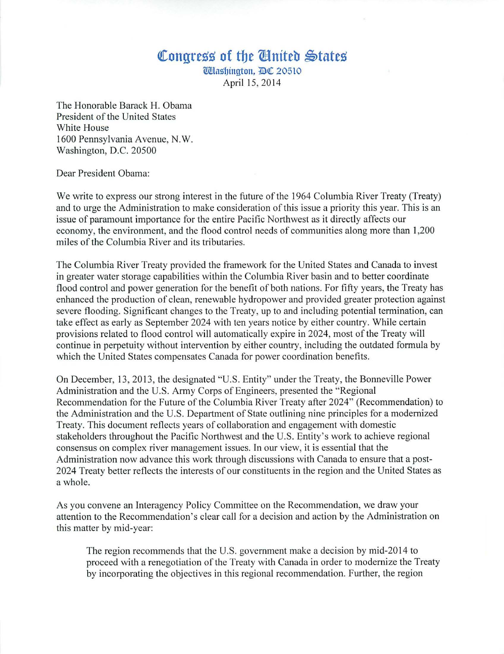## **Congress of the** *@nited* States

[i[tlaslJington, *JID(I[* 20510 April 15,2014

The Honorable Barack H. Obama President of the United States White House 1600 Pennsylvania Avenue, N.W. Washington, D.C. 20500

Dear President Obama:

We write to express our strong interest in the future of the 1964 Columbia River Treaty (Treaty) and to urge the Administration to make consideration of this issue a priority this year. This is an issue of paramount importance for the entire Pacific Northwest as it directly affects our economy, the environment, and the flood control needs of communities along more than 1,200 miles of the Columbia River and its tributaries.

The Columbia River Treaty provided the framework for the United States and Canada to invest in greater water storage capabilities within the Columbia River basin and to better coordinate flood control and power generation for the benefit of both nations. For fifty years, the Treaty has enhanced the production of clean, renewable hydropower and provided greater protection against severe flooding. Significant changes to the Treaty, up to and including potential termination, can take effect as early as September 2024 with ten years notice by either country. While certain provisions related to flood control will automatically expire in 2024, most of the Treaty will continue in perpetuity without intervention by either country, including the outdated formula by which the United States compensates Canada for power coordination benefits.

On December, 13, 20 13, the designated "U.S. Entity" under the Treaty, the Bonneville Power Administration and the U.S. Army Corps of Engineers, presented the "Regional Recommendation for the Future of the Columbia River Treaty after 2024" (Recommendation) to the Administration and the U.S. Department of State outlining nine principles for a modernized Treaty. This document reflects years of collaboration and engagement with domestic stakeholders throughout the Pacific Northwest and the U.S. Entity's work to achieve regional consensus on complex river management issues. In our view, it is essential that the Administration now advance this work through discussions with Canada to ensure that a post-2024 Treaty better reflects the interests of our constituents in the region and the United States as a whole.

As you convene an Interagency Policy Committee on the Recommendation, we draw your attention to the Recommendation's clear call for a decision and action by the Administration on this matter by mid-year:

The region recommends that the U.S. government make a decision by mid-2014 to proceed with a renegotiation of the Treaty with Canada in order to modernize the Treaty by incorporating the objectives in this regional recommendation. Further, the region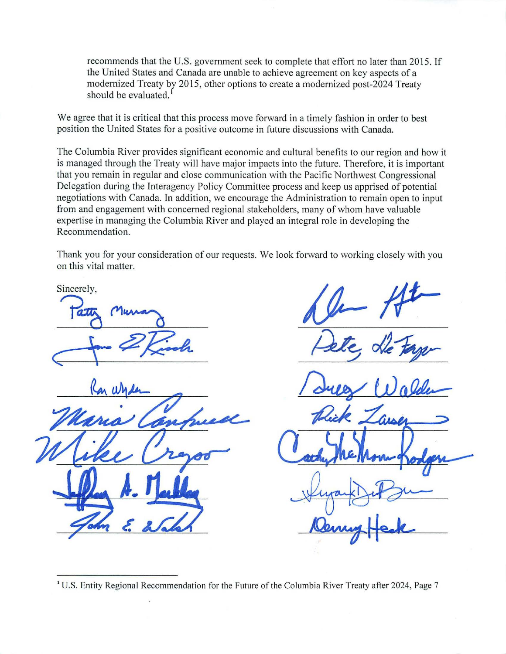recommends that the U.S. government seek to complete that effort no later than 2015. If the United States and Canada are unable to achieve agreement on key aspects of a modernized Treaty by 2015, other options to create a modernized post-2024 Treaty should be evaluated.<sup>1</sup>

We agree that it is critical that this process move forward in a timely fashion in order to best position the United States for a positive outcome in future discussions with Canada.

The Columbia River provides significant economic and cultural benefits to our region and how it is managed through the Treaty will have major impacts into the future. Therefore, it is important that you remain in regular and close communication with the Pacific Northwest Congressional Delegation during the Interagency Policy Committee process and keep us apprised of potential negotiations with Canada. In addition, we encourage the Administration to remain open to input from and engagement with concerned regional stakeholders, many of whom have valuable expertise in managing the Columbia River and played an integral role in developing the Recommendation.

Thank you for your consideration of our requests. We look forward to working closely with you on this vital matter.

Sincerely,

Hele de tager

Pelle de tager

Rick Zai

 $1$  U.S. Entity Regional Recommendation for the Future of the Columbia River Treaty after 2024, Page 7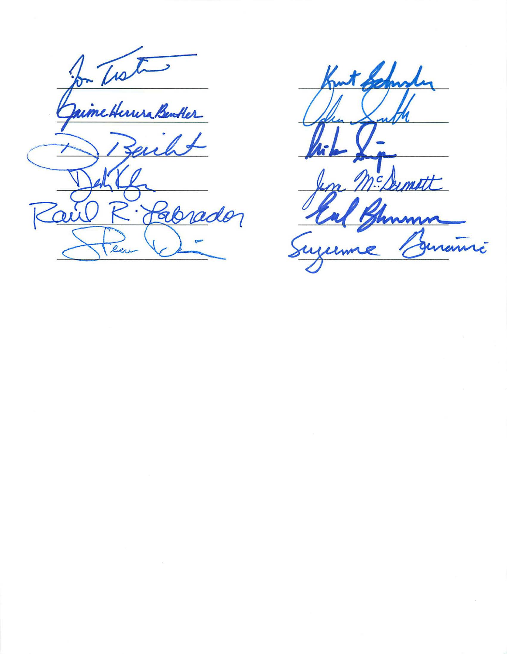for Treton Ebrader  $\overline{\mathcal{O}}$ 

në